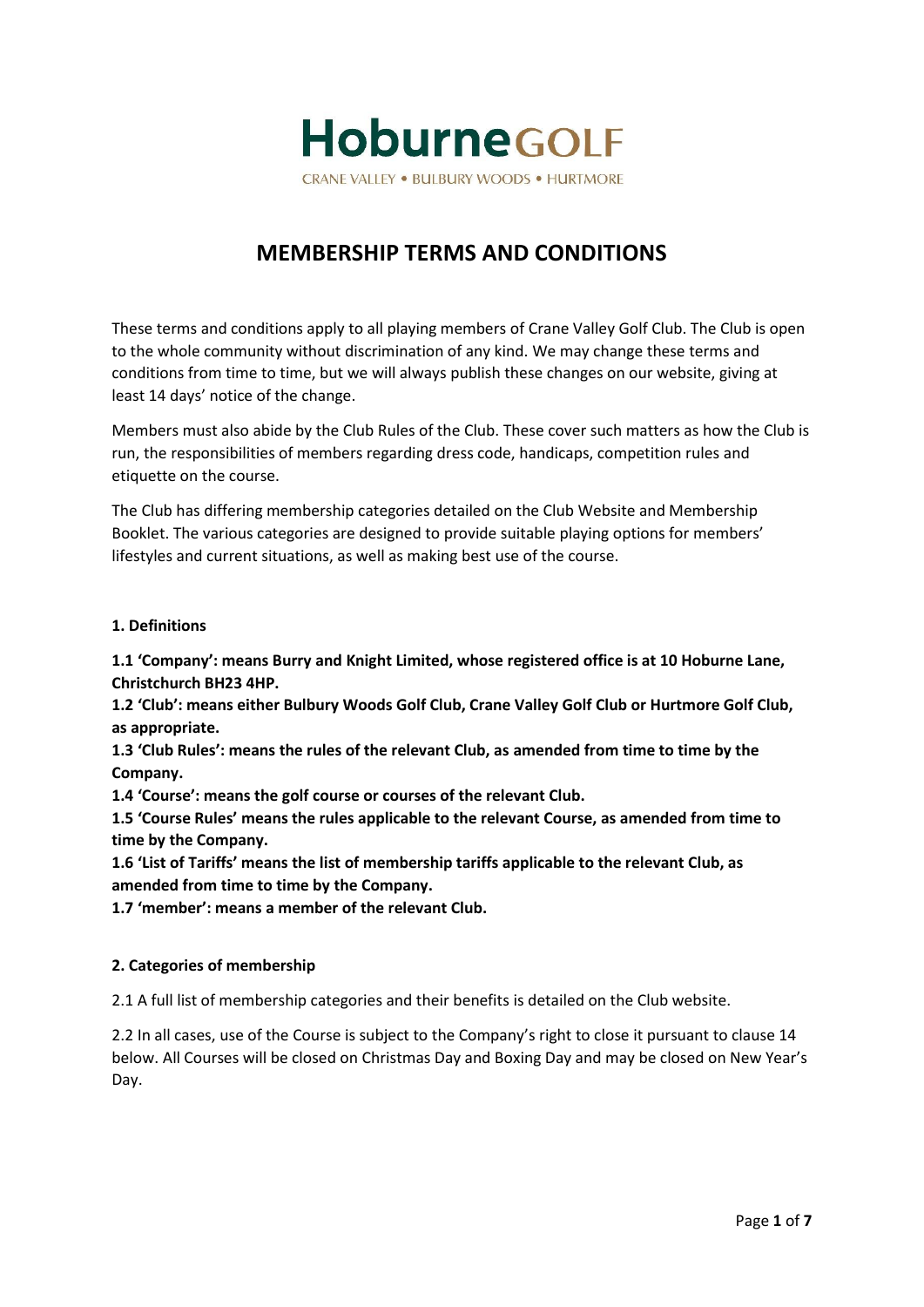

# **MEMBERSHIP TERMS AND CONDITIONS**

These terms and conditions apply to all playing members of Crane Valley Golf Club. The Club is open to the whole community without discrimination of any kind. We may change these terms and conditions from time to time, but we will always publish these changes on our website, giving at least 14 days' notice of the change.

Members must also abide by the Club Rules of the Club. These cover such matters as how the Club is run, the responsibilities of members regarding dress code, handicaps, competition rules and etiquette on the course.

The Club has differing membership categories detailed on the Club Website and Membership Booklet. The various categories are designed to provide suitable playing options for members' lifestyles and current situations, as well as making best use of the course.

# **1. Definitions**

**1.1 'Company': means Burry and Knight Limited, whose registered office is at 10 Hoburne Lane, Christchurch BH23 4HP.**

**1.2 'Club': means either Bulbury Woods Golf Club, Crane Valley Golf Club or Hurtmore Golf Club, as appropriate.**

**1.3 'Club Rules': means the rules of the relevant Club, as amended from time to time by the Company.**

**1.4 'Course': means the golf course or courses of the relevant Club.**

**1.5 'Course Rules' means the rules applicable to the relevant Course, as amended from time to time by the Company.**

**1.6 'List of Tariffs' means the list of membership tariffs applicable to the relevant Club, as amended from time to time by the Company.**

**1.7 'member': means a member of the relevant Club.**

## **2. Categories of membership**

2.1 A full list of membership categories and their benefits is detailed on the Club website.

2.2 In all cases, use of the Course is subject to the Company's right to close it pursuant to clause 14 below. All Courses will be closed on Christmas Day and Boxing Day and may be closed on New Year's Day.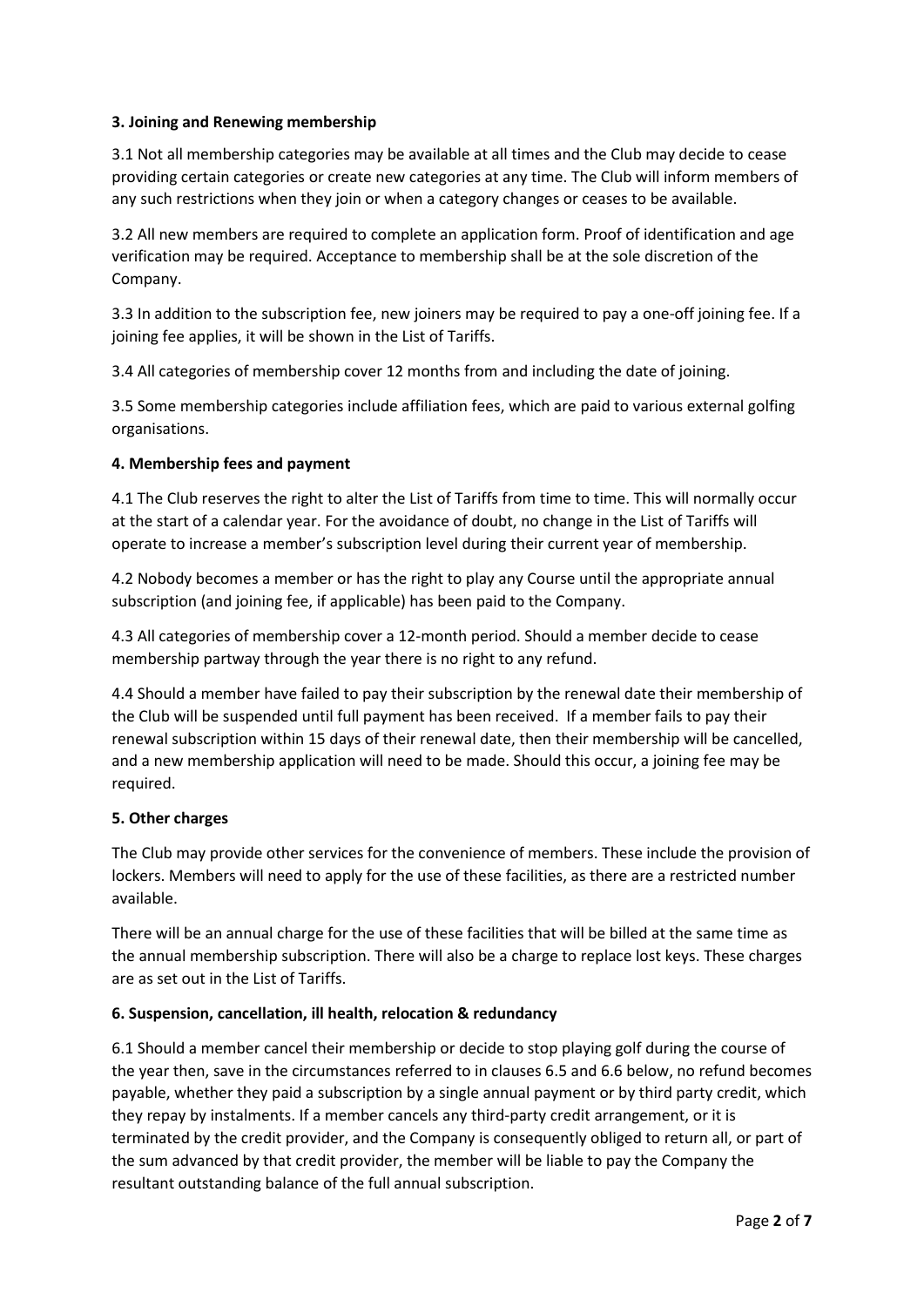# **3. Joining and Renewing membership**

3.1 Not all membership categories may be available at all times and the Club may decide to cease providing certain categories or create new categories at any time. The Club will inform members of any such restrictions when they join or when a category changes or ceases to be available.

3.2 All new members are required to complete an application form. Proof of identification and age verification may be required. Acceptance to membership shall be at the sole discretion of the Company.

3.3 In addition to the subscription fee, new joiners may be required to pay a one-off joining fee. If a joining fee applies, it will be shown in the List of Tariffs.

3.4 All categories of membership cover 12 months from and including the date of joining.

3.5 Some membership categories include affiliation fees, which are paid to various external golfing organisations.

## **4. Membership fees and payment**

4.1 The Club reserves the right to alter the List of Tariffs from time to time. This will normally occur at the start of a calendar year. For the avoidance of doubt, no change in the List of Tariffs will operate to increase a member's subscription level during their current year of membership.

4.2 Nobody becomes a member or has the right to play any Course until the appropriate annual subscription (and joining fee, if applicable) has been paid to the Company.

4.3 All categories of membership cover a 12-month period. Should a member decide to cease membership partway through the year there is no right to any refund.

4.4 Should a member have failed to pay their subscription by the renewal date their membership of the Club will be suspended until full payment has been received. If a member fails to pay their renewal subscription within 15 days of their renewal date, then their membership will be cancelled, and a new membership application will need to be made. Should this occur, a joining fee may be required.

## **5. Other charges**

The Club may provide other services for the convenience of members. These include the provision of lockers. Members will need to apply for the use of these facilities, as there are a restricted number available.

There will be an annual charge for the use of these facilities that will be billed at the same time as the annual membership subscription. There will also be a charge to replace lost keys. These charges are as set out in the List of Tariffs.

## **6. Suspension, cancellation, ill health, relocation & redundancy**

6.1 Should a member cancel their membership or decide to stop playing golf during the course of the year then, save in the circumstances referred to in clauses 6.5 and 6.6 below, no refund becomes payable, whether they paid a subscription by a single annual payment or by third party credit, which they repay by instalments. If a member cancels any third-party credit arrangement, or it is terminated by the credit provider, and the Company is consequently obliged to return all, or part of the sum advanced by that credit provider, the member will be liable to pay the Company the resultant outstanding balance of the full annual subscription.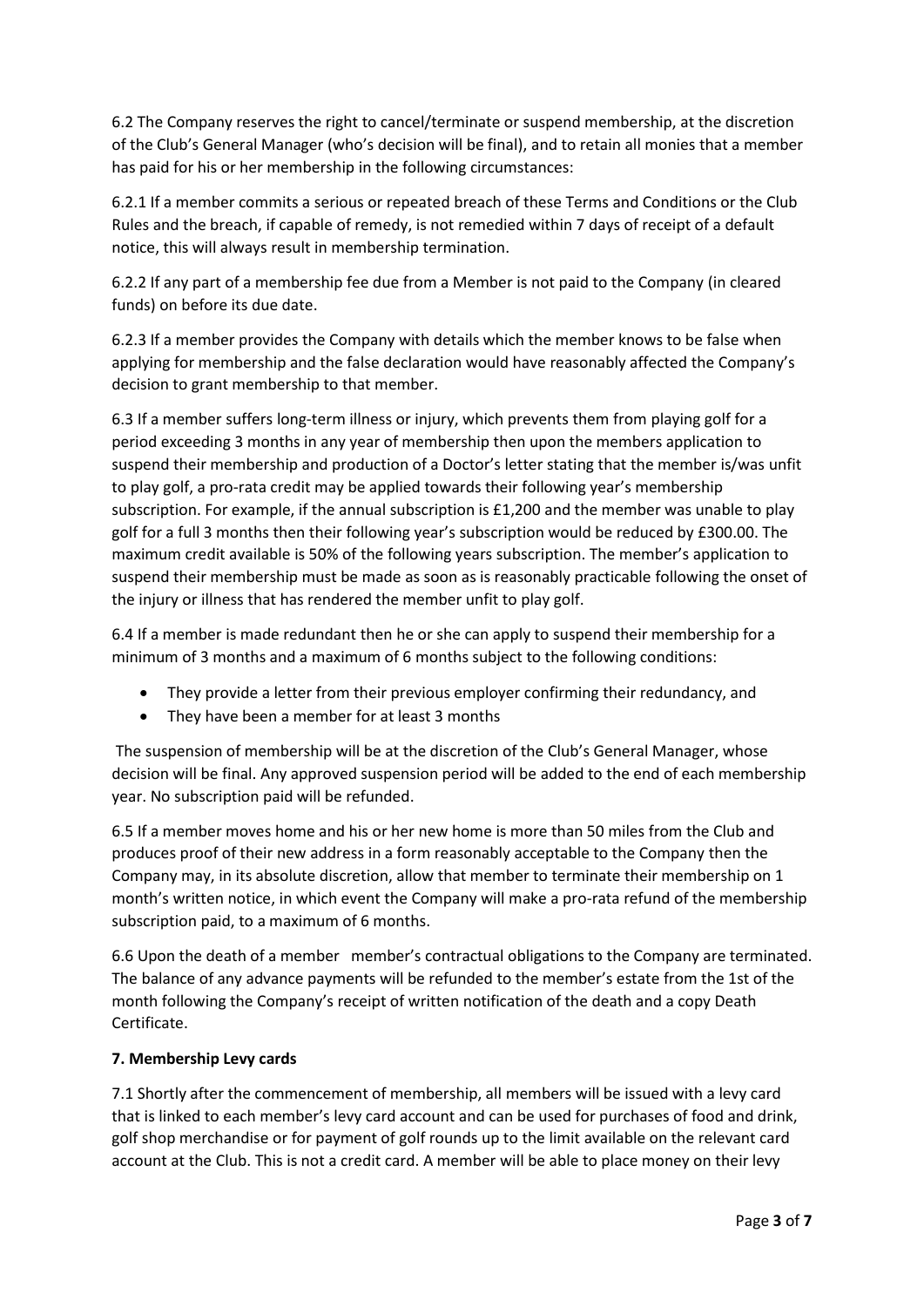6.2 The Company reserves the right to cancel/terminate or suspend membership, at the discretion of the Club's General Manager (who's decision will be final), and to retain all monies that a member has paid for his or her membership in the following circumstances:

6.2.1 If a member commits a serious or repeated breach of these Terms and Conditions or the Club Rules and the breach, if capable of remedy, is not remedied within 7 days of receipt of a default notice, this will always result in membership termination.

6.2.2 If any part of a membership fee due from a Member is not paid to the Company (in cleared funds) on before its due date.

6.2.3 If a member provides the Company with details which the member knows to be false when applying for membership and the false declaration would have reasonably affected the Company's decision to grant membership to that member.

6.3 If a member suffers long-term illness or injury, which prevents them from playing golf for a period exceeding 3 months in any year of membership then upon the members application to suspend their membership and production of a Doctor's letter stating that the member is/was unfit to play golf, a pro-rata credit may be applied towards their following year's membership subscription. For example, if the annual subscription is £1,200 and the member was unable to play golf for a full 3 months then their following year's subscription would be reduced by £300.00. The maximum credit available is 50% of the following years subscription. The member's application to suspend their membership must be made as soon as is reasonably practicable following the onset of the injury or illness that has rendered the member unfit to play golf.

6.4 If a member is made redundant then he or she can apply to suspend their membership for a minimum of 3 months and a maximum of 6 months subject to the following conditions:

- They provide a letter from their previous employer confirming their redundancy, and
- They have been a member for at least 3 months

The suspension of membership will be at the discretion of the Club's General Manager, whose decision will be final. Any approved suspension period will be added to the end of each membership year. No subscription paid will be refunded.

6.5 If a member moves home and his or her new home is more than 50 miles from the Club and produces proof of their new address in a form reasonably acceptable to the Company then the Company may, in its absolute discretion, allow that member to terminate their membership on 1 month's written notice, in which event the Company will make a pro-rata refund of the membership subscription paid, to a maximum of 6 months.

6.6 Upon the death of a member member's contractual obligations to the Company are terminated. The balance of any advance payments will be refunded to the member's estate from the 1st of the month following the Company's receipt of written notification of the death and a copy Death Certificate.

## **7. Membership Levy cards**

7.1 Shortly after the commencement of membership, all members will be issued with a levy card that is linked to each member's levy card account and can be used for purchases of food and drink, golf shop merchandise or for payment of golf rounds up to the limit available on the relevant card account at the Club. This is not a credit card. A member will be able to place money on their levy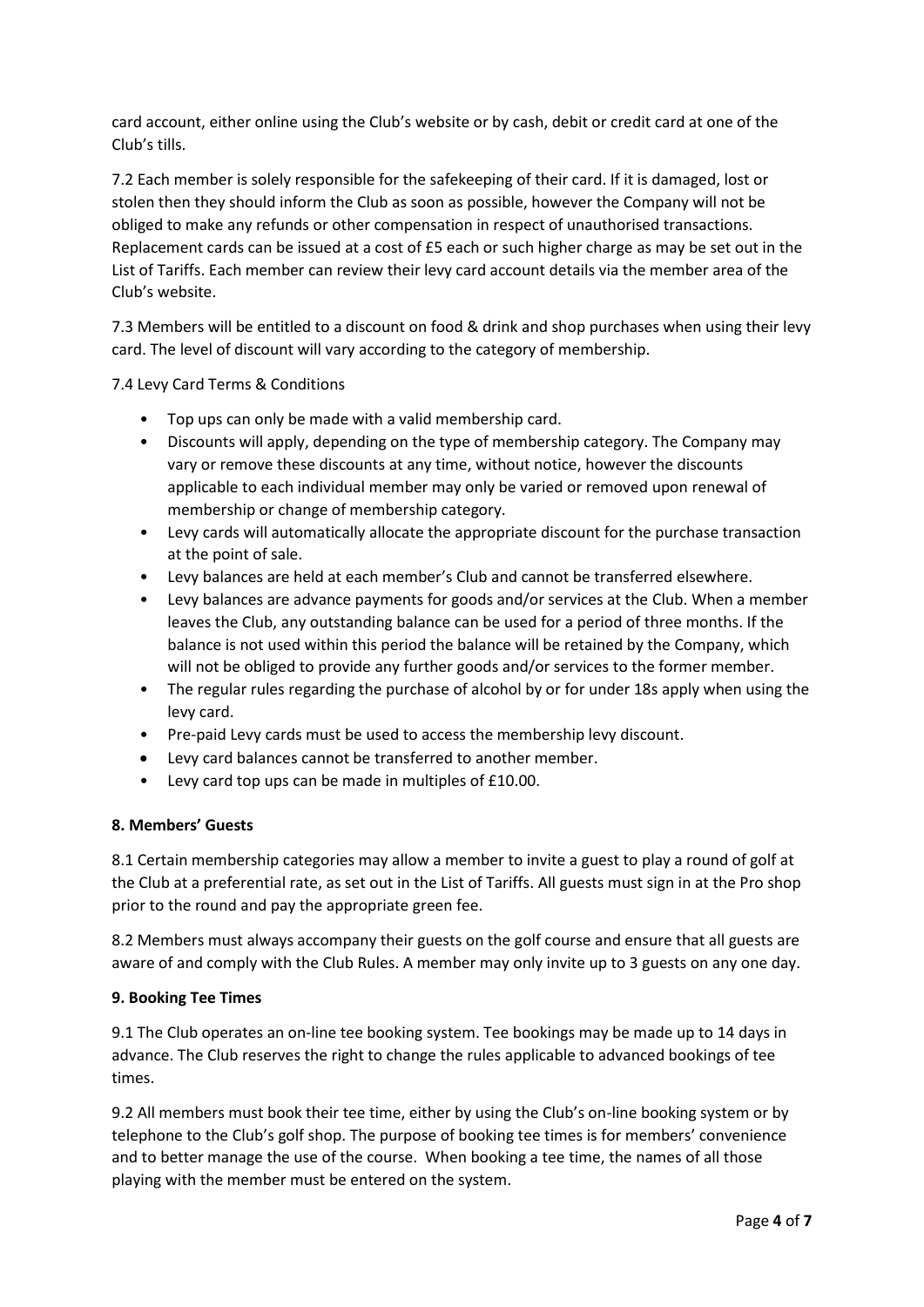card account, either online using the Club's website or by cash, debit or credit card at one of the Club's tills.

7.2 Each member is solely responsible for the safekeeping of their card. If it is damaged, lost or stolen then they should inform the Club as soon as possible, however the Company will not be obliged to make any refunds or other compensation in respect of unauthorised transactions. Replacement cards can be issued at a cost of £5 each or such higher charge as may be set out in the List of Tariffs. Each member can review their levy card account details via the member area of the Club's website.

7.3 Members will be entitled to a discount on food & drink and shop purchases when using their levy card. The level of discount will vary according to the category of membership.

7.4 Levy Card Terms & Conditions

- Top ups can only be made with a valid membership card.
- Discounts will apply, depending on the type of membership category. The Company may vary or remove these discounts at any time, without notice, however the discounts applicable to each individual member may only be varied or removed upon renewal of membership or change of membership category.
- Levy cards will automatically allocate the appropriate discount for the purchase transaction at the point of sale.
- Levy balances are held at each member's Club and cannot be transferred elsewhere.
- Levy balances are advance payments for goods and/or services at the Club. When a member leaves the Club, any outstanding balance can be used for a period of three months. If the balance is not used within this period the balance will be retained by the Company, which will not be obliged to provide any further goods and/or services to the former member.
- The regular rules regarding the purchase of alcohol by or for under 18s apply when using the levy card.
- Pre-paid Levy cards must be used to access the membership levy discount.
- Levy card balances cannot be transferred to another member.
- Levy card top ups can be made in multiples of £10.00.

## **8. Members' Guests**

8.1 Certain membership categories may allow a member to invite a guest to play a round of golf at the Club at a preferential rate, as set out in the List of Tariffs. All guests must sign in at the Pro shop prior to the round and pay the appropriate green fee.

8.2 Members must always accompany their guests on the golf course and ensure that all guests are aware of and comply with the Club Rules. A member may only invite up to 3 guests on any one day.

## **9. Booking Tee Times**

9.1 The Club operates an on-line tee booking system. Tee bookings may be made up to 14 days in advance. The Club reserves the right to change the rules applicable to advanced bookings of tee times.

9.2 All members must book their tee time, either by using the Club's on-line booking system or by telephone to the Club's golf shop. The purpose of booking tee times is for members' convenience and to better manage the use of the course. When booking a tee time, the names of all those playing with the member must be entered on the system.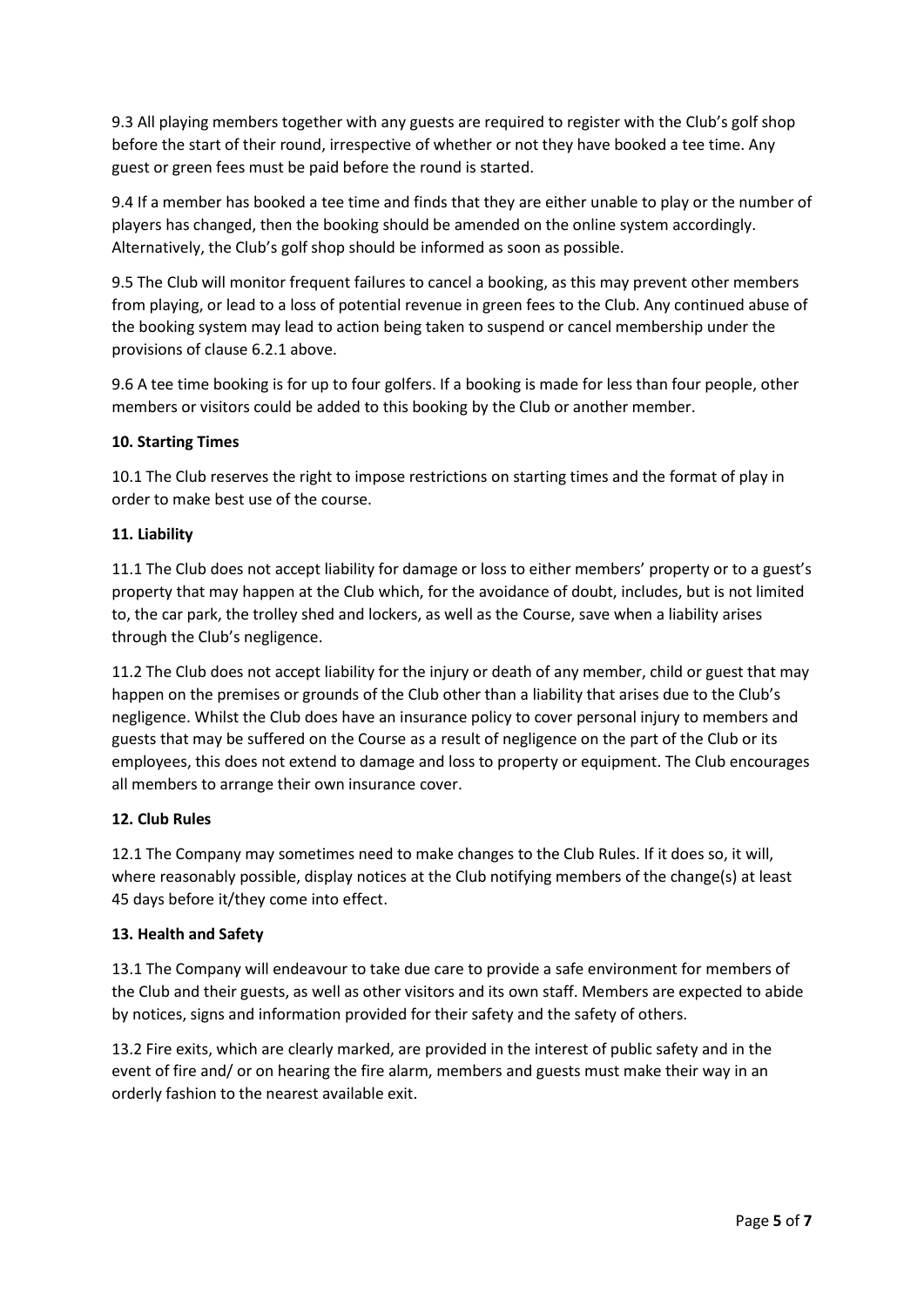9.3 All playing members together with any guests are required to register with the Club's golf shop before the start of their round, irrespective of whether or not they have booked a tee time. Any guest or green fees must be paid before the round is started.

9.4 If a member has booked a tee time and finds that they are either unable to play or the number of players has changed, then the booking should be amended on the online system accordingly. Alternatively, the Club's golf shop should be informed as soon as possible.

9.5 The Club will monitor frequent failures to cancel a booking, as this may prevent other members from playing, or lead to a loss of potential revenue in green fees to the Club. Any continued abuse of the booking system may lead to action being taken to suspend or cancel membership under the provisions of clause 6.2.1 above.

9.6 A tee time booking is for up to four golfers. If a booking is made for less than four people, other members or visitors could be added to this booking by the Club or another member.

# **10. Starting Times**

10.1 The Club reserves the right to impose restrictions on starting times and the format of play in order to make best use of the course.

# **11. Liability**

11.1 The Club does not accept liability for damage or loss to either members' property or to a guest's property that may happen at the Club which, for the avoidance of doubt, includes, but is not limited to, the car park, the trolley shed and lockers, as well as the Course, save when a liability arises through the Club's negligence.

11.2 The Club does not accept liability for the injury or death of any member, child or guest that may happen on the premises or grounds of the Club other than a liability that arises due to the Club's negligence. Whilst the Club does have an insurance policy to cover personal injury to members and guests that may be suffered on the Course as a result of negligence on the part of the Club or its employees, this does not extend to damage and loss to property or equipment. The Club encourages all members to arrange their own insurance cover.

# **12. Club Rules**

12.1 The Company may sometimes need to make changes to the Club Rules. If it does so, it will, where reasonably possible, display notices at the Club notifying members of the change(s) at least 45 days before it/they come into effect.

## **13. Health and Safety**

13.1 The Company will endeavour to take due care to provide a safe environment for members of the Club and their guests, as well as other visitors and its own staff. Members are expected to abide by notices, signs and information provided for their safety and the safety of others.

13.2 Fire exits, which are clearly marked, are provided in the interest of public safety and in the event of fire and/ or on hearing the fire alarm, members and guests must make their way in an orderly fashion to the nearest available exit.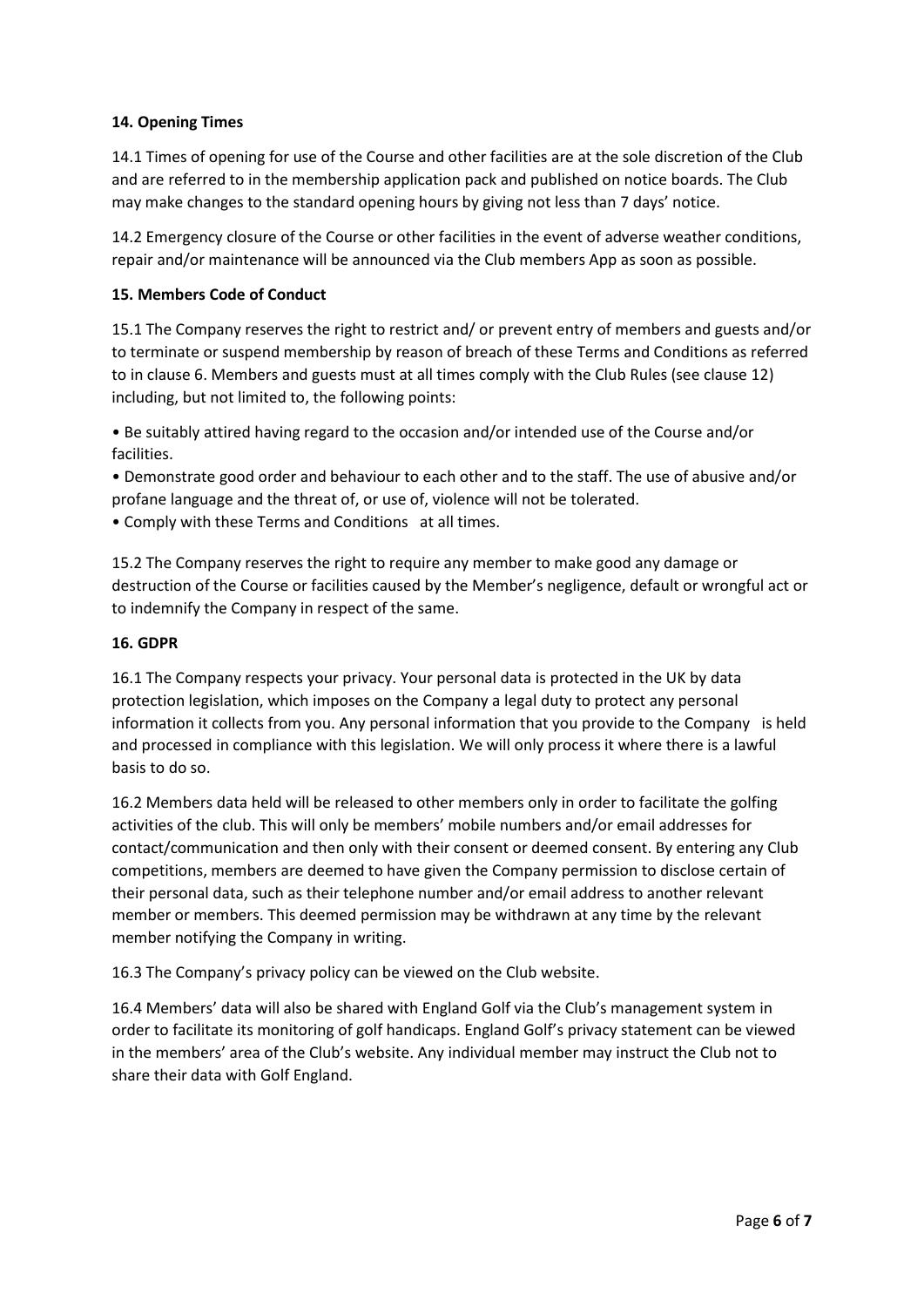# **14. Opening Times**

14.1 Times of opening for use of the Course and other facilities are at the sole discretion of the Club and are referred to in the membership application pack and published on notice boards. The Club may make changes to the standard opening hours by giving not less than 7 days' notice.

14.2 Emergency closure of the Course or other facilities in the event of adverse weather conditions, repair and/or maintenance will be announced via the Club members App as soon as possible.

## **15. Members Code of Conduct**

15.1 The Company reserves the right to restrict and/ or prevent entry of members and guests and/or to terminate or suspend membership by reason of breach of these Terms and Conditions as referred to in clause 6. Members and guests must at all times comply with the Club Rules (see clause 12) including, but not limited to, the following points:

• Be suitably attired having regard to the occasion and/or intended use of the Course and/or facilities.

• Demonstrate good order and behaviour to each other and to the staff. The use of abusive and/or profane language and the threat of, or use of, violence will not be tolerated.

• Comply with these Terms and Conditions at all times.

15.2 The Company reserves the right to require any member to make good any damage or destruction of the Course or facilities caused by the Member's negligence, default or wrongful act or to indemnify the Company in respect of the same.

## **16. GDPR**

16.1 The Company respects your privacy. Your personal data is protected in the UK by data protection legislation, which imposes on the Company a legal duty to protect any personal information it collects from you. Any personal information that you provide to the Company is held and processed in compliance with this legislation. We will only process it where there is a lawful basis to do so.

16.2 Members data held will be released to other members only in order to facilitate the golfing activities of the club. This will only be members' mobile numbers and/or email addresses for contact/communication and then only with their consent or deemed consent. By entering any Club competitions, members are deemed to have given the Company permission to disclose certain of their personal data, such as their telephone number and/or email address to another relevant member or members. This deemed permission may be withdrawn at any time by the relevant member notifying the Company in writing.

16.3 The Company's privacy policy can be viewed on the Club website.

16.4 Members' data will also be shared with England Golf via the Club's management system in order to facilitate its monitoring of golf handicaps. England Golf's privacy statement can be viewed in the members' area of the Club's website. Any individual member may instruct the Club not to share their data with Golf England.